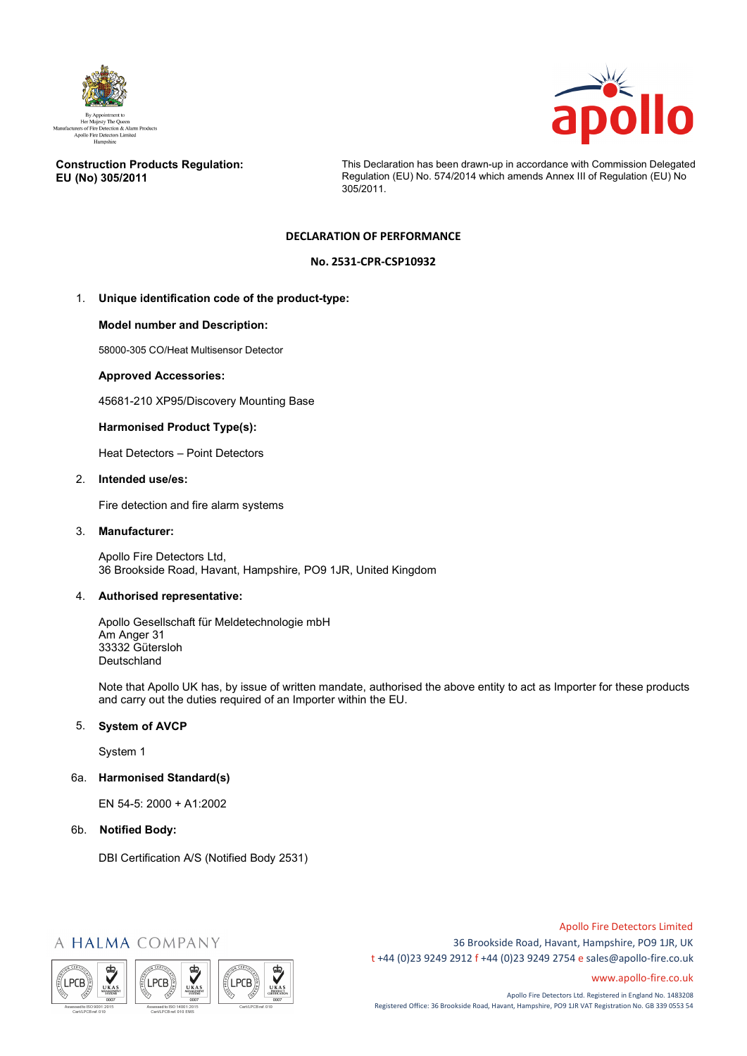



## **Construction Products Regulation: EU (No) 305/2011**

This Declaration has been drawn-up in accordance with Commission Delegated Regulation (EU) No. 574/2014 which amends Annex III of Regulation (EU) No 305/2011.

# **DECLARATION OF PERFORMANCE**

## **No. 2531-CPR-CSP10932**

# 1. **Unique identification code of the product-type:**

## **Model number and Description:**

58000-305 CO/Heat Multisensor Detector

## **Approved Accessories:**

45681-210 XP95/Discovery Mounting Base

## **Harmonised Product Type(s):**

Heat Detectors – Point Detectors

### 2. **Intended use/es:**

Fire detection and fire alarm systems

#### 3. **Manufacturer:**

Apollo Fire Detectors Ltd, 36 Brookside Road, Havant, Hampshire, PO9 1JR, United Kingdom

## 4. **Authorised representative:**

Apollo Gesellschaft für Meldetechnologie mbH Am Anger 31 33332 Gütersloh Deutschland

Note that Apollo UK has, by issue of written mandate, authorised the above entity to act as Importer for these products and carry out the duties required of an Importer within the EU.

# 5. **System of AVCP**

System 1

6a. **Harmonised Standard(s)**

EN 54-5: 2000 + A1:2002

6b. **Notified Body:**

DBI Certification A/S (Notified Body 2531)

# A HALMA COMPANY



Apollo Fire Detectors Limited 36 Brookside Road, Havant, Hampshire, PO9 1JR, UK t +44 (0)23 9249 2912 f +44 (0)23 9249 2754 [e sales@apollo-fire.co.uk](mailto:sales@apollo-fire.co.uk)

[www.apollo-fire.co.uk](http://www.apollo-fire.co.uk/)

Apollo Fire Detectors Ltd. Registered in England No. 1483208 Registered Office: 36 Brookside Road, Havant, Hampshire, PO9 1JR VAT Registration No. GB 339 0553 54